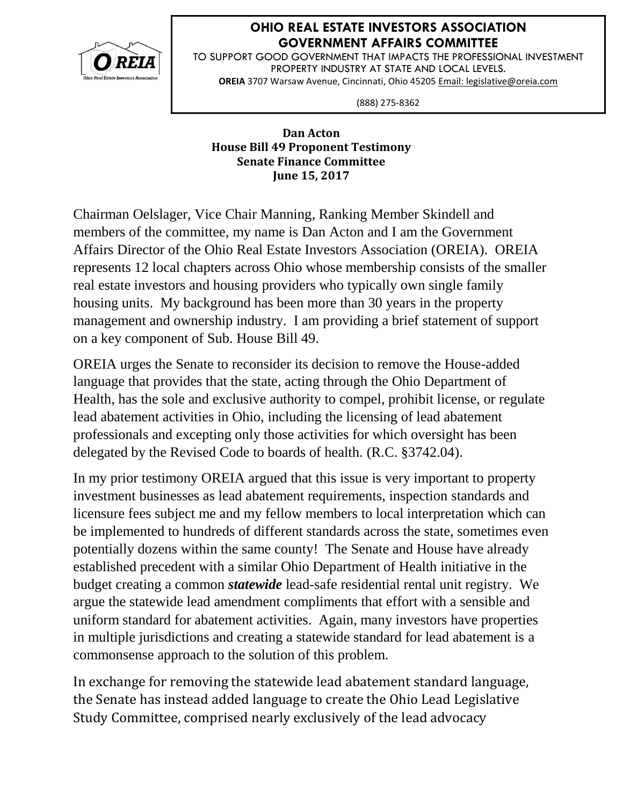

## **OHIO REAL ESTATE INVESTORS ASSOCIATION GOVERNMENT AFFAIRS COMMITTEE**

TO SUPPORT GOOD GOVERNMENT THAT IMPACTS THE PROFESSIONAL INVESTMENT PROPERTY INDUSTRY AT STATE AND LOCAL LEVELS. **OREIA** 3707 Warsaw Avenue, Cincinnati, Ohio 45205 Email: legislative@oreia.com

(888) 275-8362

## **Dan Acton House Bill 49 Proponent Testimony Senate Finance Committee June 15, 2017**

Chairman Oelslager, Vice Chair Manning, Ranking Member Skindell and members of the committee, my name is Dan Acton and I am the Government Affairs Director of the Ohio Real Estate Investors Association (OREIA). OREIA represents 12 local chapters across Ohio whose membership consists of the smaller real estate investors and housing providers who typically own single family housing units. My background has been more than 30 years in the property management and ownership industry. I am providing a brief statement of support on a key component of Sub. House Bill 49.

OREIA urges the Senate to reconsider its decision to remove the House-added language that provides that the state, acting through the Ohio Department of Health, has the sole and exclusive authority to compel, prohibit license, or regulate lead abatement activities in Ohio, including the licensing of lead abatement professionals and excepting only those activities for which oversight has been delegated by the Revised Code to boards of health. (R.C. §3742.04).

In my prior testimony OREIA argued that this issue is very important to property investment businesses as lead abatement requirements, inspection standards and licensure fees subject me and my fellow members to local interpretation which can be implemented to hundreds of different standards across the state, sometimes even potentially dozens within the same county! The Senate and House have already established precedent with a similar Ohio Department of Health initiative in the budget creating a common *statewide* lead-safe residential rental unit registry. We argue the statewide lead amendment compliments that effort with a sensible and uniform standard for abatement activities. Again, many investors have properties in multiple jurisdictions and creating a statewide standard for lead abatement is a commonsense approach to the solution of this problem.

In exchange for removing the statewide lead abatement standard language, the Senate has instead added language to create the Ohio Lead Legislative Study Committee, comprised nearly exclusively of the lead advocacy